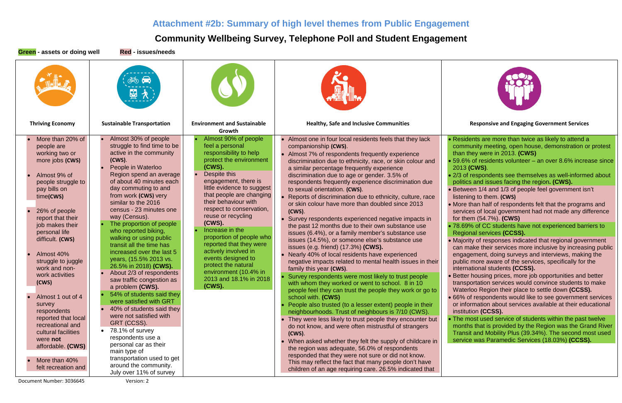# **Attachment #2b: Summary of high level themes from Public Engagement**

# **Community Wellbeing Survey, Telephone Poll and Student Engagement**

**Green - assets or doing well Red - issues/needs** 회 **Thriving Economy Sustainable Transportation Environment and Sustainable Healthy, Safe and Inclusive Communities Responsive and Engaging Government Services Growth** • Almost 30% of people • More than 20% of • Almost 90% of people • Almost one in four local residents feels that they lack • Residents are more than twice as likely to attend a struggle to find time to be feel a personal companionship **(CWS)**. community meeting, open house, demonstration or protest people are active in the community working two or responsibility to help than they were in 2013. **(CWS)** • Almost 7% of respondents frequently experience more jobs **(CWS) (CWS)**. protect the environment • 59.6% of residents volunteer – an over 8.6% increase since discrimination due to ethnicity, race, or skin colour and People in Waterloo **(CWS).** a similar percentage frequently experience 2013 **(CWS)**. Despite this Region spend an average • Almost 9% of discrimination due to age or gender. 3.5% of • 2/3 of respondents see themselves as well-informed about of about 40 minutes each engagement, there is people struggle to respondents frequently experience discrimination due politics and issues facing the region**. (CWS).** little evidence to suggest day commuting to and pay bills on to sexual orientation. **(CWS)**. • Between 1/4 and 1/3 of people feel government isn't that people are changing from work **(CWS)** very time**(CWS)** listening to them. **(CWS)** • Reports of discrimination due to ethnicity, culture, race their behaviour with similar to the 2016 or skin colour have more than doubled since 2013 • More than half of respondents felt that the programs and respect to conservation, census - 23 minutes one • 26% of people **(CWS)**. services of local government had not made any difference reuse or recycling way (Census). report that their for them (54.7%). **(CWS)** • Survey respondents experienced negative impacts in **(CWS).** The proportion of people job makes their the past 12 months due to their own substance use • 78.69% of CC students have not experienced barriers to • Increase in the who reported biking, personal life issues (6.4%), or a family member's substance use Regional services **(CCSS).** proportion of people who walking or using public difficult. **(CWS)** issues (14.5%), or someone else's substance use • Majority of responses indicated that regional government reported that they were transit all the time has issues (e.g. friend) (17.3%) **(CWS).** can make their services more inclusive by increasing public actively involved in increased over the last 5 • Almost 40% • Nearly 40% of local residents have experienced engagement, doing surveys and interviews, making the events designed to years, (15.5% 2013 vs. struggle to juggle negative impacts related to mental health issues in their public more aware of the services, specifically for the 26.5% in 2018) **(CWS).** protect the natural work and noninternational students **(CCSS).** family this year **(CWS)**. environment (10.4% in • About 2/3 of respondents work activities • Better housing prices, more job opportunities and better Survey respondents were most likely to trust people 2013 and 18.1% in 2018 saw traffic congestion as **(CWS)** transportation services would convince students to make with whom they worked or went to school. 8 in 10 **(CWS).** a problem **(CWS).**  Waterloo Region their place to settle down **(CCSS).** people feel they can trust the people they work or go to • 54% of students said they • Almost 1 out of 4 • 66% of respondents would like to see government services school with. **(CWS)** were satisfied with GRT or information about services available at their educational survey • People also trusted (to a lesser extent) people in their • 40% of students said they respondents neighbourhoods. Trust of neighbours is 7/10 (CWS). institution **(CCSS).** were not satisfied with reported that local • The most used service of students within the past twelve • They were less likely to trust people they encounter but GRT (CCSS). recreational and months that is provided by the Region was the Grand River do not know, and were often mistrustful of strangers • 78.1% of survey cultural facilities Transit and Mobility Plus (39.34%). The second most used **(CWS)**. respondents use a were **not**  service was Paramedic Services (18.03%) **(CCSS).** • When asked whether they felt the supply of childcare in personal car as their affordable. **(CWS)**  the region was adequate, 56.0% of respondents main type of responded that they were not sure or did not know. transportation used to get • More than 40% This may reflect the fact that many people don't have around the community. felt recreation and children of an age requiring care. 26.5% indicated that July over 11% of survey

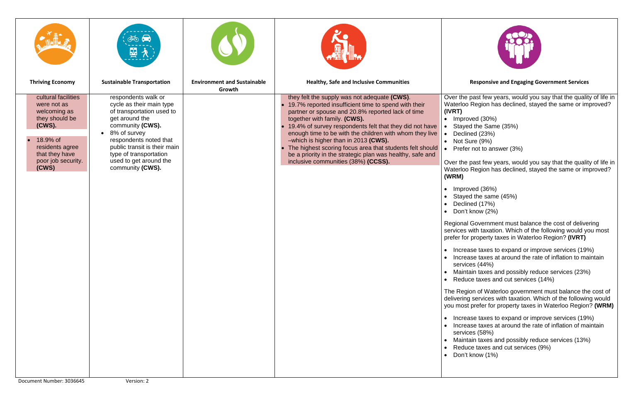|                                                                                                                                                                | $\frac{1}{2}$<br>μ,                                                                                                                                                                                                                                                               |                                              |                                                                                                                                                                                                                                                                                                                                                                                                                                                                                                                             |                                                                                                                                                                                                                                                                                                                                                                                                                                                  |
|----------------------------------------------------------------------------------------------------------------------------------------------------------------|-----------------------------------------------------------------------------------------------------------------------------------------------------------------------------------------------------------------------------------------------------------------------------------|----------------------------------------------|-----------------------------------------------------------------------------------------------------------------------------------------------------------------------------------------------------------------------------------------------------------------------------------------------------------------------------------------------------------------------------------------------------------------------------------------------------------------------------------------------------------------------------|--------------------------------------------------------------------------------------------------------------------------------------------------------------------------------------------------------------------------------------------------------------------------------------------------------------------------------------------------------------------------------------------------------------------------------------------------|
| <b>Thriving Economy</b>                                                                                                                                        | <b>Sustainable Transportation</b>                                                                                                                                                                                                                                                 | <b>Environment and Sustainable</b><br>Growth | <b>Healthy, Safe and Inclusive Communities</b>                                                                                                                                                                                                                                                                                                                                                                                                                                                                              |                                                                                                                                                                                                                                                                                                                                                                                                                                                  |
| cultural facilities<br>were not as<br>welcoming as<br>they should be<br>(CWS).<br>18.9% of<br>residents agree<br>that they have<br>poor job security.<br>(CWS) | respondents walk or<br>cycle as their main type<br>of transportation used to<br>get around the<br>community (CWS).<br>8% of survey<br>$\bullet$<br>respondents noted that<br>public transit is their main<br>type of transportation<br>used to get around the<br>community (CWS). |                                              | they felt the supply was not adequate (CWS).<br>• 19.7% reported insufficient time to spend with their<br>partner or spouse and 20.8% reported lack of time<br>together with family. (CWS).<br>19.4% of survey respondents felt that they did not have<br>enough time to be with the children with whom they live<br>-which is higher than in 2013 (CWS).<br>• The highest scoring focus area that students felt should<br>be a priority in the strategic plan was healthy, safe and<br>inclusive communities (38%) (CCSS). | Over<br>Wate<br>(IVR <sub>1</sub><br>$\mathsf{Im}$<br>$\bullet$<br>$\bullet$ St<br>D<br>$\bullet$<br>N<br>$\bullet$<br>$\bullet$ Pr<br>Over<br>Wate<br>(WRN<br>$\bullet$ In<br>St<br>$\bullet$<br>D<br>$\bullet$<br>$\bullet$ Do<br>Regio<br>servio<br>prefe<br><u>In</u><br>$\bullet$<br>In<br>$\bullet$<br>$s\epsilon$<br>M<br>R<br>$\bullet$<br>The F<br>delive<br>you n<br>$\bullet$ In<br>ln<br>se<br>M<br>R<br>D <sub>0</sub><br>$\bullet$ |

the past few years, would you say that the quality of life in rloo Region has declined, stayed the same or improved? **(IVRT)**

• Improved (30%) tayed the Same (35%) eclined (23%) lot Sure (9%) refer not to answer (3%)

the past few years, would you say that the quality of life in erloo Region has declined, stayed the same or improved? **(WRM)**

• Improved (36%) tayed the same  $(45%)$ eclined (17%) on't know (2%)

onal Government must balance the cost of delivering ces with taxation. Which of the following would you most er for property taxes in Waterloo Region? **(IVRT)** 

• Increase taxes to expand or improve services (19%) • Increase taxes at around the rate of inflation to maintain services (44%)

laintain taxes and possibly reduce services (23%) educe taxes and cut services (14%)

Region of Waterloo government must balance the cost of ering services with taxation. Which of the following would most prefer for property taxes in Waterloo Region? (WRM)

• Increase taxes to expand or improve services (19%) • Increase taxes at around the rate of inflation of maintain services (58%)

laintain taxes and possibly reduce services (13%)

educe taxes and cut services (9%)

on't know (1%)



## **Responsive and Engaging Government Services**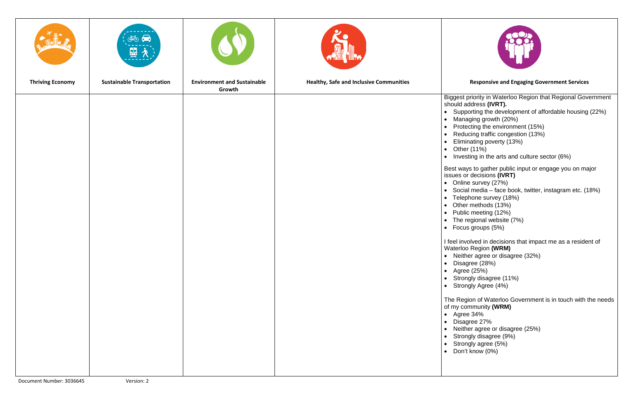|                         | <b>END</b><br>$\frac{1}{2}$       | $\mathbf{O}$                                 | <b>A THE A</b><br>∃im                          |                                                                                                                                                                                                                                                                                                                                                                                                                                                                                                                                                                           |
|-------------------------|-----------------------------------|----------------------------------------------|------------------------------------------------|---------------------------------------------------------------------------------------------------------------------------------------------------------------------------------------------------------------------------------------------------------------------------------------------------------------------------------------------------------------------------------------------------------------------------------------------------------------------------------------------------------------------------------------------------------------------------|
| <b>Thriving Economy</b> | <b>Sustainable Transportation</b> | <b>Environment and Sustainable</b><br>Growth | <b>Healthy, Safe and Inclusive Communities</b> |                                                                                                                                                                                                                                                                                                                                                                                                                                                                                                                                                                           |
|                         |                                   |                                              |                                                | Bigg<br>shou<br>$\bullet$ S<br>$\mathsf{N}$<br>$\bullet$<br>$\mathsf{P}$<br>$\bullet$<br>$\overline{R}$<br>$\bullet$<br>E<br>$\bullet$<br>$\bullet$ C<br>$\bullet$ Ir<br><b>Best</b><br>issue<br>$\bullet$ 0<br>$\bullet$ S<br>$\bullet$ T<br>$\bullet$ 0<br>$\mathsf{P}$<br>$\bullet$<br>$\bullet$ T<br>$\bullet$ F<br>I feel<br>Wate<br>● N<br>$\mathsf{D}$<br>$\bullet$<br>A<br>S<br>S<br>$\bullet$<br>$\bullet$<br>$\bullet$<br>The<br>of my<br>$\bullet$ A<br>$\begin{array}{c} D \\ D \end{array}$<br>$\bullet$<br>$\bullet$<br>$\bullet$<br>$\bullet$<br>$\bullet$ |
|                         |                                   |                                              |                                                |                                                                                                                                                                                                                                                                                                                                                                                                                                                                                                                                                                           |

rest priority in Waterloo Region that Regional Government should address **(IVRT).** • Supporting the development of affordable housing (22%) • Managing growth (20%) Protecting the environment (15%) Reducing traffic congestion (13%) • Eliminating poverty (13%) • Other (11%) nvesting in the arts and culture sector (6%) ways to gather public input or engage you on major es or decisions **(IVRT)** • Online survey (27%) • Social media – face book, twitter, instagram etc. (18%) elephone survey (18%) • Other methods (13%) <sup>2</sup>ublic meeting (12%) The regional website (7%)  $\frac{1}{2}$ ocus groups (5%) involved in decisions that impact me as a resident of erloo Region **(WRM)** • Neither agree or disagree (32%) • Disagree (28%) • Agree (25%) • Strongly disagree (11%) • Strongly Agree (4%) Region of Waterloo Government is in touch with the needs **y** community (WRM) • Agree 34% • Disagree 27% • Neither agree or disagree (25%) • Strongly disagree (9%) • Strongly agree (5%) • Don't know (0%)



## **Responsive and Engaging Government Services**